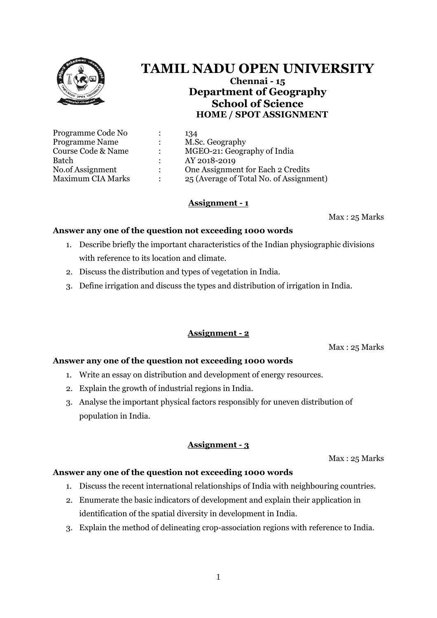

# **TAMIL NADU OPEN UNIVERSITY**

**Chennai - 15 Department of Geography School of Science HOME / SPOT ASSIGNMENT**

| Programme Code No        |               | 134                                     |
|--------------------------|---------------|-----------------------------------------|
| <b>Programme Name</b>    |               | M.Sc. Geography                         |
| Course Code & Name       | ٠             | MGEO-21: Geography of India             |
| Batch                    |               | AY 2018-2019                            |
| No.of Assignment         | $\mathcal{L}$ | One Assignment for Each 2 Credits       |
| <b>Maximum CIA Marks</b> | ٠             | 25 (Average of Total No. of Assignment) |
|                          |               |                                         |

# **Assignment - 1**

Max : 25 Marks

#### **Answer any one of the question not exceeding 1000 words**

- 1. Describe briefly the important characteristics of the Indian physiographic divisions with reference to its location and climate.
- 2. Discuss the distribution and types of vegetation in India.
- 3. Define irrigation and discuss the types and distribution of irrigation in India.

# **Assignment - 2**

Max : 25 Marks

# **Answer any one of the question not exceeding 1000 words**

- 1. Write an essay on distribution and development of energy resources.
- 2. Explain the growth of industrial regions in India.
- 3. Analyse the important physical factors responsibly for uneven distribution of population in India.

# **Assignment - 3**

Max : 25 Marks

#### **Answer any one of the question not exceeding 1000 words**

- 1. Discuss the recent international relationships of India with neighbouring countries.
- 2. Enumerate the basic indicators of development and explain their application in identification of the spatial diversity in development in India.
- 3. Explain the method of delineating crop-association regions with reference to India.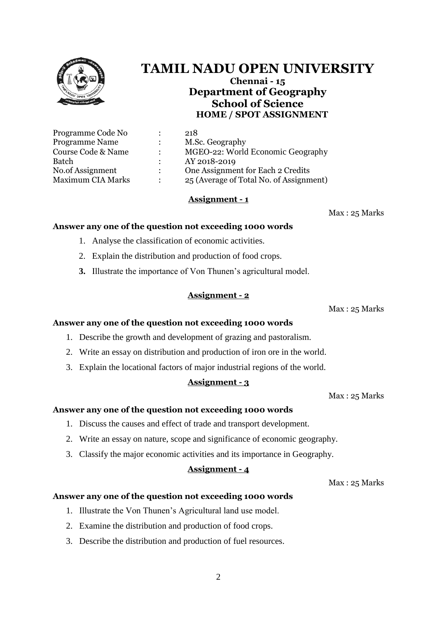

# **TAMIL NADU OPEN UNIVERSITY**

**Chennai - 15 Department of Geography School of Science HOME / SPOT ASSIGNMENT**

| Programme Code No        | 218                                     |
|--------------------------|-----------------------------------------|
| <b>Programme Name</b>    | M.Sc. Geography                         |
| Course Code & Name       | MGEO-22: World Economic Geography       |
| <b>Batch</b>             | AY 2018-2019                            |
| No.of Assignment         | One Assignment for Each 2 Credits       |
| <b>Maximum CIA Marks</b> | 25 (Average of Total No. of Assignment) |

# **Assignment - 1**

Max : 25 Marks

#### **Answer any one of the question not exceeding 1000 words**

- 1. Analyse the classification of economic activities.
- 2. Explain the distribution and production of food crops.
- **3.** Illustrate the importance of Von Thunen's agricultural model.

# **Assignment - 2**

Max : 25 Marks

# **Answer any one of the question not exceeding 1000 words**

- 1. Describe the growth and development of grazing and pastoralism.
- 2. Write an essay on distribution and production of iron ore in the world.
- 3. Explain the locational factors of major industrial regions of the world.

# **Assignment - 3**

Max : 25 Marks

# **Answer any one of the question not exceeding 1000 words**

- 1. Discuss the causes and effect of trade and transport development.
- 2. Write an essay on nature, scope and significance of economic geography.
- 3. Classify the major economic activities and its importance in Geography.

# **Assignment - 4**

Max : 25 Marks

#### **Answer any one of the question not exceeding 1000 words**

- 1. Illustrate the Von Thunen's Agricultural land use model.
- 2. Examine the distribution and production of food crops.
- 3. Describe the distribution and production of fuel resources.